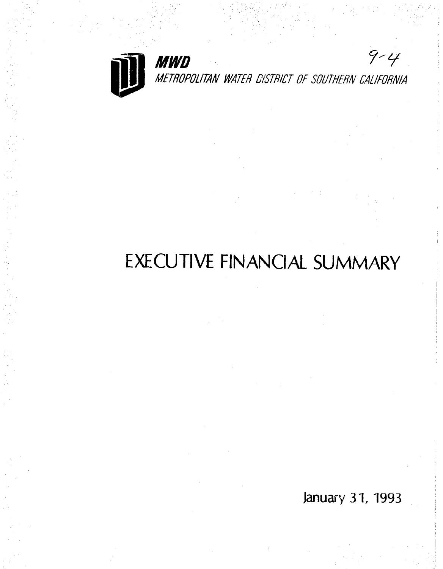

 $9 - 4$ **MWD**<br>METROPOLITAN WATER DISTRICT OF SOUTHERN CALIFORNIA

# EXECUTIVE FINANCIAL SUMMARY

January 31, 1993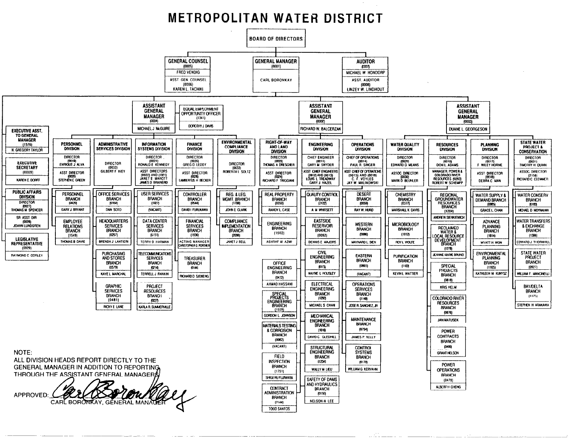## **METROPOLITAN WATER DISTRICT**

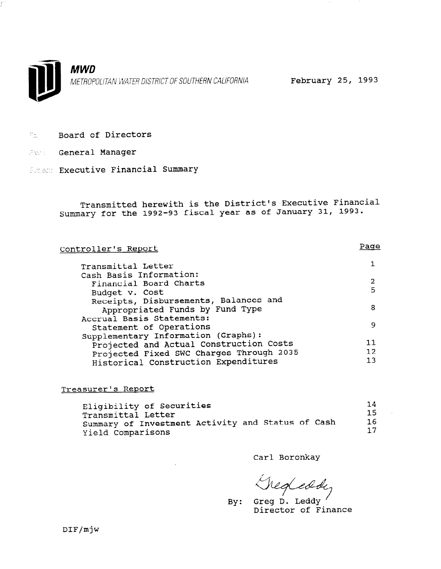

- $\Gamma_{\rm 01}$ .I. Board of Directors
- Form General Manager
- Subject: Executive Financial Summary

Transmitted herewith is the District's Executive Financial Summary for the 1992-93 fiscal year as of January 31, 1993.

| Controller's Report                      | Page |
|------------------------------------------|------|
| Transmittal Letter                       |      |
| Cash Basis Information:                  |      |
| Financial Board Charts                   | 2    |
| Budget v. Cost                           | 5    |
| Receipts, Disbursements, Balances and    |      |
| Appropriated Funds by Fund Type          | 8    |
| Accrual Basis Statements:                |      |
| Statement of Operations                  | 9    |
| Supplementary Information (Graphs):      |      |
| Projected and Actual Construction Costs  | 11   |
| Projected Fixed SWC Charges Through 2035 | 12   |
| Historical Construction Expenditures     | 13   |
|                                          |      |

### Treasurer's Report

| Eligibility of Securities                         | 14  |
|---------------------------------------------------|-----|
| Transmittal Letter                                | 15. |
| Summary of Investment Activity and Status of Cash | 16. |
|                                                   |     |
| Yield Comparisons                                 | 17  |

Carl Boronkay

Shegleddy<br>By: Greg D. Leddy

Director of Finance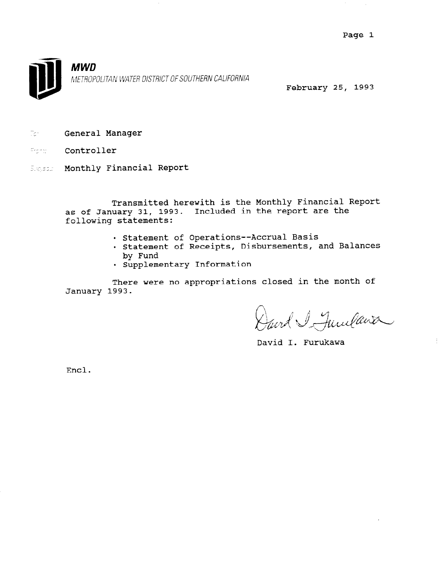

February 25, 1993

- **zdeneral Manager**
- en<br>Este **Control**
- Sugeon Monthly Financial Report

Transmitted herewith is the Monthly Financial Report as of January 31, 1993. Included in the report are the following statements:

- . Statement of Operations--Accrual Basis
- . Statement of Receipts, Disbursements, and Balances by Fund
- Supplementary Information

There were no appropriations closed in the month of January 1993.

David I Junelaise

David I. Furukawa

Encl.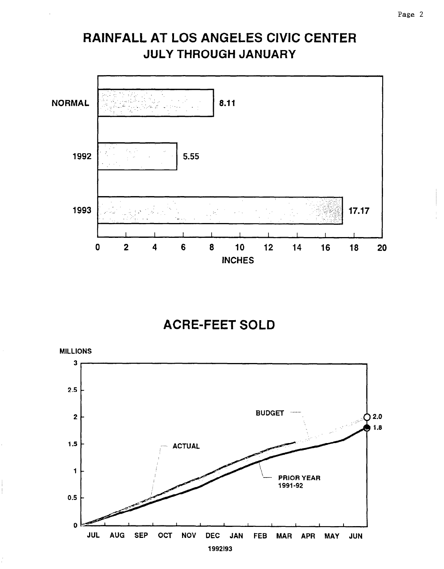# RAINFALL AT LOS ANGELES CIVIC CENTER JULY THROUGH JANUARY



# ACRE-FEET SOLD

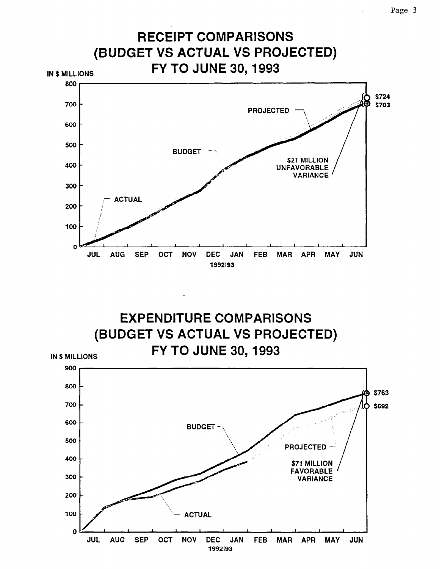

EXPENDITURE COMPARISONS (BUDGET VS ACTUAL VS PROJECTED) **FY TO JUNE 30, 1993 IN \$ MILLIONS** 

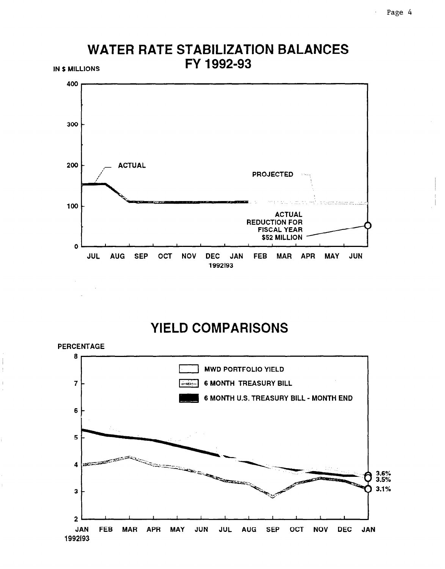

### **WATER RATE STABILIZATION BALANCES** FY 1992-93 **IN \$ MILLIONS**

# **YIELD COMPARISONS**

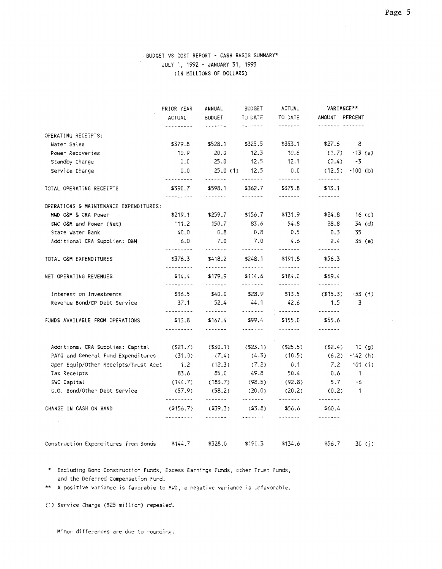### BUDGET VS COST REPORT - CASH BASIS SUMMARY\* JULY 1, 1992 - JANUARY 31, 1993 (IN MILLIONS OF DOLLARS)

|                                        | PRIOR YEAR                   | ANNUAL                       | <b>BUDGET</b>      | <b>ACTUAL</b>                                                                                          | VARIANCE**                   |              |
|----------------------------------------|------------------------------|------------------------------|--------------------|--------------------------------------------------------------------------------------------------------|------------------------------|--------------|
|                                        | <b>ACTUAL</b>                | <b>BUDGET</b>                | TO DATE            | TO DATE                                                                                                | AMOUNT PERCENT               |              |
|                                        | ---------                    |                              | -------            | -------                                                                                                |                              |              |
| OPERATING RECEIPTS:                    |                              | \$528.1                      | \$325.5            | \$353.1                                                                                                | \$27.6                       | 8            |
| Water Sales                            | \$379.8                      |                              |                    |                                                                                                        |                              |              |
| Power Recoveries                       | 10.9                         | 20.0                         | 12.3               | 10.6                                                                                                   | (1.7)                        | $-13$ (a)    |
| Standby Charge                         | 0.0                          | 25.0                         | 12.5               | 12.1                                                                                                   | (0.4)                        | -3           |
| Service Charge                         | 0.0<br>---------             | 25.0(1)<br>-------           | 12.5<br>-------    | 0.0<br>-------                                                                                         | (12.5)<br>-------            | $-100$ (b)   |
| TOTAL OPERATING RECEIPTS               | \$390.7<br>. . <i>. .</i>    | \$598.1<br>-------           | \$362.7<br>------- | \$375.8<br>-------                                                                                     | \$13.1<br>-------            |              |
| OPERATIONS & MAINTENANCE EXPENDITURES: |                              |                              |                    |                                                                                                        |                              |              |
| MWD O&M & CRA Power                    | \$219.1                      | \$259.7                      | \$156.7            | \$131.9                                                                                                | \$24.8                       | 16( c )      |
| SWC O&M and Power (Net)                | 111.2                        | 150.7                        | 83.6               | 54.8                                                                                                   | 28.8                         | 34 (d)       |
| State Water Bank                       | 40.0                         | 0.8                          | 0.8                | 0.5                                                                                                    | 0.3                          | 35           |
| Additional CRA Supplies: O&M           | 6.0                          | 7.0                          | 7.0                | 4.6                                                                                                    | 2.4                          | 35 (e)       |
| TOTAL O&M EXPENDITURES                 | <br>\$376.3                  | <br>\$418.2                  | .<br>\$248.1       | -------<br>\$191.8                                                                                     | -------<br>\$56.3<br>------- |              |
| NET OPERATING REVENUES                 | \$14.4                       | -------<br>\$179.9           | -------<br>\$1.4.6 | $\begin{array}{cccccccccc} \cdots & \cdots & \cdots & \cdots & \cdots & \cdots \end{array}$<br>\$184.0 | \$69.4                       |              |
| Interest on Investments                | <u>.</u><br>\$36.5           | -------<br>\$40.0            | -------<br>\$28.9  | -------<br>\$13.5                                                                                      | -------<br>$($ \$15.3)       | -53 (f)      |
| Revenue Bond/CP Debt Service           | 37.1                         | 52.4                         | 44.1               | 42.6                                                                                                   | 1.5                          | 3            |
| FUNDS AVAILABLE FROM OPERATIONS        | ---------<br>\$13.8<br>.     | .<br>\$167.4<br>. <b>.</b> . | \$99.4<br>-------- | -------<br>\$155.0<br>-------                                                                          | -------<br>\$55.6<br>------- |              |
|                                        |                              |                              |                    |                                                                                                        |                              |              |
| Additional CRA Supplies: Capital       | $($ \$21.7)                  | $($ \$30.1)                  | (S23.1)            | ( \$25.5)                                                                                              | ( \$2.4)                     | 10(9)        |
| PAYG and General Fund Expenditures     | (31.9)                       | (7.4)                        | (4.3)              | (10.5)                                                                                                 | (6.2)                        | $-142$ (h)   |
| Oper Equip/Other Receipts/Trust Acct   | 1.2                          | (12.3)                       | (7.2)              | 0.1                                                                                                    | 7.2                          | 101 (i)      |
| Tax Receipts                           | 83.6                         | 85.0                         | 49.8               | 50.4                                                                                                   | 0.6                          | $\mathbf{1}$ |
| SWC Capital                            | (144.7)                      | (183.7)                      | (98.5)             | (92.8)                                                                                                 | 5.7                          | -6           |
| G.O. Bond/Other Debt Service           | (57.9)<br>---------          | (58.2)<br>-------            | (20.0)<br>-------  | (20.2)                                                                                                 | (0.2)<br>-------             | $\mathbf{1}$ |
| CHANGE IN CASH ON HAND                 | $($ \$156.7 $)$<br>--------- | $($ \$39.3)                  | (53.8)             | \$56.6<br>-------                                                                                      | \$60.4<br>-------            |              |
|                                        |                              |                              |                    |                                                                                                        |                              |              |
| Construction Expenditures from Bonds   | \$144.7                      | \$328.0                      | \$191.3            | \$134.6                                                                                                | \$56.7                       | 30(1)        |

\* Excluding Bond Construction Funds, Excess Earnings Funds, other Trust Funds, and the Deferred Compensation Fund.

\*\* A positive variance is favorable to MWD, a negative variance is unfavorable.

(1) Service Charge (\$25 million) repealed.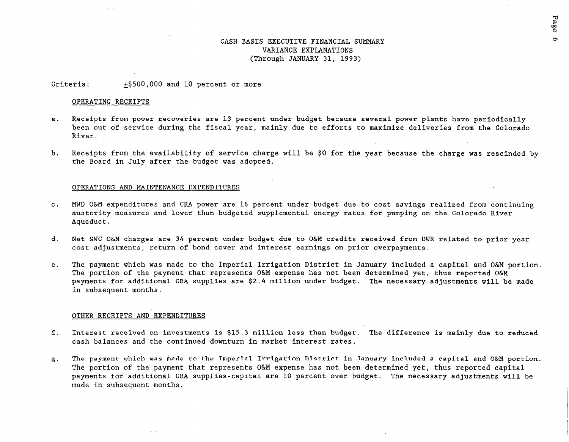### CASH BASIS EXECUTIVE FINANCIAL SUMMARY VARIANCE EXPLANATIONS (Through JANUARY 31, 1993)

Page

 $\sigma$ 

Criteria:  $+$ \$500,000 and 10 percent or more

#### OPERATING RECEIPTS

- a. Receipts from power recoveries are 13 percent under budget because several power plants have periodically been out of service during the fiscal year, mainly due to efforts to maximize deliveries from the Colorado River.
- b. Receipts from the availability of service charge will be \$0 for the year because the charge was rescinded by the Board in July after the budget was adopted.

#### OPERATIONS AND MAINTENANCE EXPENDITURES

- c. MWD O&M expenditures and CRA power are 16 percent under budget due to cost savings realized from continu austerity measures and lower than budgeted supplemental energy rates for pumping on the Colorado River Aqueduct.
- d. Net SWC O&M charges are 34 percent under budget due to O&M credits received from DWR related to prior year cost adjustments, return of bond cover and interest earnings on prior overpayments.
- e. The payment which was made to the Imperial Irrigation District in January included a capital and O&M portion, The portion of the payment that represents O&M expense has not been determined yet, thus reported O&M payments for additional CRA supplies are \$2.4 million under budget. The necessary adjustments will be made in subsequent months.

#### OTHER RECEIPTS AND EXPENDITURES

- f. Interest received on investments is \$15.3 million less than budget. The difference is mainly due to reduced cash balances and the continued downturn in market interest rates.
- $g$ . The payment which was made to the Imperial Irrigation District in January included a capital and O&M portion. The portion of the payment that represents O&M expense has not been determined yet, thus reported capital payments for additional CRA supplies-capital are 10 percent over budget. The necessary adjustments will be made in subsequent months.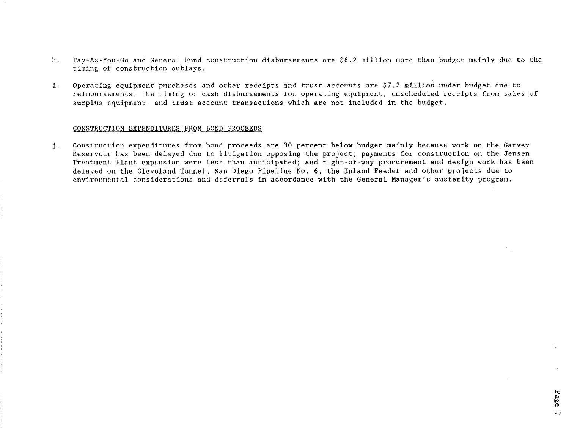- h. Pay-As-You-Go and General Fund construction disbursements are \$6.2 million more than budget mainly due to the timing of construction outlays.
- i. Operating equipment purchases and other receipts and trust accounts are \$7.2 mil.Llon under budget due to reimbursements, the timing of cash disbursements for operating equipment, unscheduled receipts from sales of surplus equipment, and trust account transactions which are not included in the budget.

#### CONSTRUCTION EXPENDITURES FROM BOND PROCEEDS

1. Construction expenditures from bond proceeds are 30 percent below budget mainly because work on the Garvey Reservoir has been delayed due to litigation opposing the project; payments for construction on the Jensen Treatment Plant expansion were less than anticipated; and right-of-way procurement and design work has been delayed on the Cleveland Tunnel., San Diego Pipeline No. 6, the Inland Feeder and other projects due to environmental considerations and deferrals in accordance with the General Manager's austerity program.

Page

 $\overline{a}$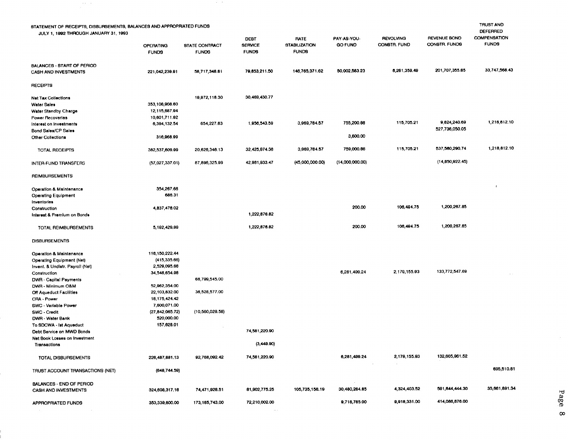| STATEMENT OF RECEIPTS, DISBURSEMENTS, BALANCES AND APPROPRIATED FUNDS<br>JULY 1, 1992 THROUGH JANUARY 31, 1993 | <b>OPERATING</b><br><b>FUNDS</b> | <b>STATE CONTRACT</b><br><b>FUNDS</b> | <b>DEBT</b><br><b>SERVICE</b><br><b>FUNDS</b> | <b>PATE</b><br><b>STABILIZATION</b><br><b>FUNDS</b> | PAY-AS-YOU-<br>GO FUND | <b>REVOLVING</b><br>CONSTR. FUND | <b>REVENUE BOND</b><br>CONSTR. FUNDS | <b>TRUST AND</b><br><b>DEFERRED</b><br><b>COMPENSATION</b><br><b>FUNDS</b> |
|----------------------------------------------------------------------------------------------------------------|----------------------------------|---------------------------------------|-----------------------------------------------|-----------------------------------------------------|------------------------|----------------------------------|--------------------------------------|----------------------------------------------------------------------------|
| <b>BALANCES - START OF PERIOD</b><br><b>CASH AND INVESTMENTS</b>                                               | 221,042,239.91                   | 58,717,348.81                         | 79,653,211.50                                 | 148,765,371.62                                      | 50,002,583.23          | 6,261,359.49                     | 201,707,355.65                       | 33,747,568.43                                                              |
| <b>RECEIPTS</b>                                                                                                |                                  |                                       |                                               |                                                     |                        |                                  |                                      |                                                                            |
|                                                                                                                |                                  |                                       | 30,469,430.77                                 |                                                     |                        |                                  |                                      |                                                                            |
| <b>Net Tax Collections</b>                                                                                     |                                  | 19,972,118.30                         |                                               |                                                     |                        |                                  |                                      |                                                                            |
| <b>Water Sales</b>                                                                                             | 353,108,908.60                   |                                       |                                               |                                                     |                        |                                  |                                      |                                                                            |
| <b>Water Standby Charge</b>                                                                                    | 12.115,687.94                    |                                       |                                               |                                                     |                        |                                  |                                      |                                                                            |
| Power Recoverles                                                                                               | 10,601,711.02<br>6,394,132.54    | 654,227.83                            | 1,956,543.59                                  | 3,969,784.57                                        | 755,200.86             | 115,705.21                       | 9,824,240.69                         | 1,218,612.10                                                               |
| Interest on Investments                                                                                        |                                  |                                       |                                               |                                                     |                        |                                  | 527,736,050.05                       |                                                                            |
| <b>Bond Sales/CP Sales</b>                                                                                     |                                  |                                       |                                               |                                                     | 3,600.00               |                                  |                                      |                                                                            |
| Other Collections                                                                                              | 316,968.99                       |                                       |                                               |                                                     |                        |                                  |                                      |                                                                            |
| <b>TOTAL RECEIPTS</b>                                                                                          | 382,537,609.99                   | 20,626,346.13                         | 32,425,974.36                                 | 3,969,784.57                                        | 759,000.86             | 115,705.21                       | 537.560,290.74                       | 1,218,812.10                                                               |
| INTER-FUND TRANSFERS                                                                                           | (57,027,337.01)                  | 87,896,325.99                         | 42,981,933.47                                 | (45,000,000.00)                                     | (14,000,000,00)        |                                  | (14, 850, 922.45)                    |                                                                            |
| <b>REIMBURSEMENTS</b>                                                                                          |                                  |                                       |                                               |                                                     |                        |                                  |                                      |                                                                            |
| <b>Operation &amp; Maintenance</b>                                                                             | 354,267.66                       |                                       |                                               |                                                     |                        |                                  |                                      |                                                                            |
| <b>Operating Equipment</b>                                                                                     | 686.31                           |                                       |                                               |                                                     |                        |                                  |                                      |                                                                            |
| Inventories                                                                                                    |                                  |                                       |                                               |                                                     |                        |                                  |                                      |                                                                            |
| Construction                                                                                                   | 4,837,476.02                     |                                       |                                               |                                                     | 200.00                 | 106,494.75                       | 1,200,267.85                         |                                                                            |
| Interest & Premium on Bonds                                                                                    |                                  |                                       | 1,222,676.82                                  |                                                     |                        |                                  |                                      |                                                                            |
|                                                                                                                |                                  |                                       |                                               |                                                     |                        |                                  |                                      |                                                                            |
| TOTAL REIMBURSEMENTS                                                                                           | 5,192,429.99                     |                                       | 1,222,676.82                                  |                                                     | 200.00                 | 106,494.75                       | 1,200,267.65                         |                                                                            |
| <b>DISBURSEMENTS</b>                                                                                           |                                  |                                       |                                               |                                                     |                        |                                  |                                      |                                                                            |
| Operation & Maintenance                                                                                        | 116,150,222.44                   |                                       |                                               |                                                     |                        |                                  |                                      |                                                                            |
| <b>Operating Equipment (Net)</b>                                                                               | (415, 335.66)                    |                                       |                                               |                                                     |                        |                                  |                                      |                                                                            |
| Invent. & Undistr. Payroll (Net)                                                                               | 2,529,095.66                     |                                       |                                               |                                                     |                        |                                  |                                      |                                                                            |
| Construction                                                                                                   | 34,546,654.08                    |                                       |                                               |                                                     | 6,281,499.24           | 2,179,155.93                     | 133,772,547.69                       |                                                                            |
| <b>DWR</b> - Capital Payments                                                                                  |                                  | 66,799,545.00                         |                                               |                                                     |                        |                                  |                                      |                                                                            |
| DWR - Minimum O&M                                                                                              | 52,962,354.00                    |                                       |                                               |                                                     |                        |                                  |                                      |                                                                            |
| <b>Off Aqueduct Facilities</b>                                                                                 | 22,103,832.00                    | 36,528,577.00                         |                                               |                                                     |                        |                                  |                                      |                                                                            |
| CRA - Power                                                                                                    | 18, 175, 424.42                  |                                       |                                               |                                                     |                        |                                  |                                      |                                                                            |
| SWC - Variable Power                                                                                           | 7,600,071.00                     |                                       |                                               |                                                     |                        |                                  |                                      |                                                                            |
| SWC - Credit                                                                                                   | (27, 842, 065.72)                | (10,560,029.56)                       |                                               |                                                     |                        |                                  |                                      |                                                                            |
| <b>DWR - Water Bank</b>                                                                                        | 520,000.00                       |                                       |                                               |                                                     |                        |                                  |                                      |                                                                            |
| To SDCWA - lst Aqueduct                                                                                        | 157,628.01                       |                                       |                                               |                                                     |                        |                                  |                                      |                                                                            |
| Debt Service on MWD Bonds                                                                                      |                                  |                                       | 74,581,220.90                                 |                                                     |                        |                                  |                                      |                                                                            |
| Net Book Losses on Investment<br><b>Transactions</b>                                                           |                                  |                                       | (3, 449.90)                                   |                                                     |                        |                                  |                                      |                                                                            |
| TOTAL DISBURSEMENTS                                                                                            | 226,487,681.13                   | 92,768,092.42                         | 74,581,220.90                                 |                                                     | 6,281,499.24           | 2,179,155.93                     | 132,605,961.52                       |                                                                            |
| TRUST ACCOUNT TRANSACTIONS (NET)                                                                               | (648,744.59)                     |                                       |                                               |                                                     |                        |                                  |                                      | 695,510.81                                                                 |
|                                                                                                                |                                  |                                       |                                               |                                                     |                        |                                  |                                      |                                                                            |
| <b>BALANCES - END OF PERIOD</b><br>CASH AND INVESTMENTS                                                        | 324,608,317.16                   | 74,471,928.51                         | 81,902,775.25                                 | 105,735,156.19                                      | 30,480,284.85          | 4,324,403.52                     | 591, 844, 444, 30                    | 35,661,891.34                                                              |
|                                                                                                                |                                  |                                       |                                               |                                                     |                        |                                  |                                      |                                                                            |
| APPROPRIATED FUNDS                                                                                             | 353,339,800.00                   | 173, 185, 743, 00                     | 72,210,002.00                                 |                                                     | 9,718,785.00           | 9,918,331.00                     | 414,086,876.00                       |                                                                            |
|                                                                                                                |                                  |                                       | $\cdots$                                      |                                                     |                        |                                  |                                      |                                                                            |

 $\sim 2000$ 

 $\frac{1}{2} \frac{1}{2} \frac{1}{2} \frac{1}{2} \frac{1}{2} \frac{1}{2}$ 

Page 8

 $\mathcal{L}_{\mathcal{A}}$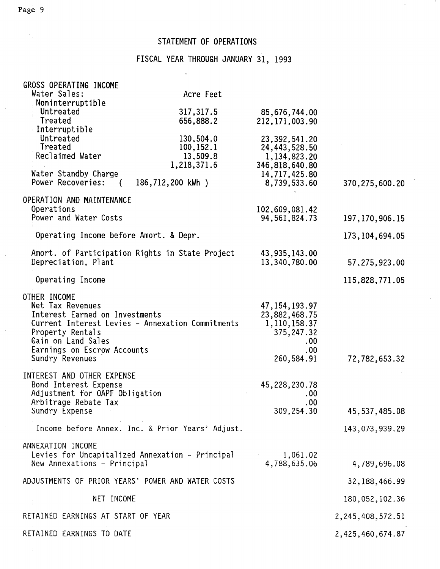### STATEMENT OF OPERATIONS

### FISCAL YEAR THROUGH JANUARY 31, 1993

| GROSS OPERATING INCOME                            |                         |                                 |                      |
|---------------------------------------------------|-------------------------|---------------------------------|----------------------|
| Water Sales:                                      | Acre Feet               |                                 |                      |
| Noninterruptible                                  |                         |                                 |                      |
| Untreated                                         | 317, 317.5              | 85,676,744.00                   |                      |
| Treated                                           | 656,888.2               | 212, 171, 003.90                |                      |
| Interruptible                                     |                         |                                 |                      |
| Untreated                                         | 130,504.0               | 23,392,541.20                   |                      |
| Treated                                           | 100, 152. 1             | 24,443,528.50                   |                      |
| Reclaimed Water                                   | 13,509.8<br>1,218,371.6 | 1,134,823.20                    |                      |
| Water Standby Charge                              |                         | 346,818,640.80<br>14,717,425.80 |                      |
| Power Recoveries:<br>$\sqrt{2}$                   | 186,712,200 kWh )       | 8,739,533.60                    | 370, 275, 600. 20    |
| OPERATION AND MAINTENANCE                         |                         |                                 |                      |
| Operations                                        |                         | 102,609,081.42                  |                      |
| Power and Water Costs                             |                         | 94, 561, 824. 73                | 197, 170, 906. 15    |
| Operating Income before Amort. & Depr.            |                         |                                 | 173, 104, 694.05     |
| Amort. of Participation Rights in State Project   |                         | 43,935,143.00                   |                      |
| Depreciation, Plant                               |                         | 13,340,780.00                   | 57,275,923.00        |
|                                                   |                         |                                 |                      |
| Operating Income                                  |                         |                                 | 115,828,771.05       |
| OTHER INCOME                                      |                         |                                 |                      |
| Net Tax Revenues                                  |                         | 47, 154, 193.97                 |                      |
| Interest Earned on Investments                    |                         | 23,882,468.75                   |                      |
| Current Interest Levies - Annexation Commitments  |                         | 1,110,158.37                    |                      |
| Property Rentals                                  |                         | 375, 247.32                     |                      |
| Gain on Land Sales                                |                         | .00                             |                      |
| Earnings on Escrow Accounts                       |                         | .00                             |                      |
| Sundry Revenues                                   |                         | 260,584.91                      | 72,782,653.32        |
| INTEREST AND OTHER EXPENSE                        |                         |                                 |                      |
| Bond Interest Expense                             |                         | 45,228,230.78                   |                      |
| Adjustment for OAPF Obligation                    |                         | .00                             |                      |
| Arbitrage Rebate Tax                              |                         | .00                             |                      |
| Sundry Expense                                    |                         | 309,254.30                      | 45,537,485.08        |
| Income before Annex. Inc. & Prior Years' Adjust.  |                         |                                 | 143,073,939.29       |
| ANNEXATION INCOME                                 |                         |                                 |                      |
| Levies for Uncapitalized Annexation - Principal   |                         | 1,061.02                        |                      |
| New Annexations - Principal                       |                         | 4,788,635.06                    | 4,789,696.08         |
|                                                   |                         |                                 |                      |
| ADJUSTMENTS OF PRIOR YEARS' POWER AND WATER COSTS |                         |                                 | 32, 188, 466.99      |
| NET INCOME                                        |                         |                                 | 180,052,102.36       |
| RETAINED EARNINGS AT START OF YEAR                |                         |                                 | 2, 245, 408, 572. 51 |
| RETAINED EARNINGS TO DATE                         |                         |                                 | 2,425,460,674.87     |

 $\mathcal{P}_{\mathcal{A}}$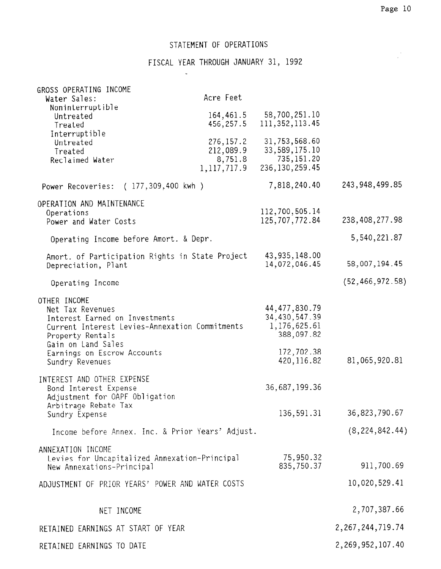$\frac{1}{2}$ 

### STATEMENT OF OPERATIONS

 $\sim$ 

FISCAL YEAR THROUGH JANUARY 31, 1992

| GROSS OPERATING INCOME<br>Water Sales:                                                                                                                                                        | Acre Feet                                           |                                                                                |                      |
|-----------------------------------------------------------------------------------------------------------------------------------------------------------------------------------------------|-----------------------------------------------------|--------------------------------------------------------------------------------|----------------------|
| Noninterruptible<br>Untreated<br>Treated                                                                                                                                                      | 164,461.5<br>456, 257.5                             | 58,700,251.10<br>111, 352, 113.45                                              |                      |
| Interruptible<br>Untreated<br>Treated<br>Reclaimed Water                                                                                                                                      | 276, 157.2<br>212,089.9<br>8,751.8<br>1, 117, 717.9 | 31,753,568.60<br>33, 589, 175. 10<br>735, 151.20<br>236, 130, 259.45           |                      |
| Power Recoveries: (177,309,400 kwh)                                                                                                                                                           |                                                     | 7,818,240.40                                                                   | 243, 948, 499. 85    |
| OPERATION AND MAINTENANCE<br>Operations<br>Power and Water Costs                                                                                                                              |                                                     | 112,700,505.14<br>125,707,772.84                                               | 238,408,277.98       |
| Operating Income before Amort. & Depr.                                                                                                                                                        |                                                     |                                                                                | 5,540,221.87         |
| Amort. of Participation Rights in State Project<br>Depreciation, Plant                                                                                                                        |                                                     | 43,935,148.00<br>14,072,046.45                                                 | 58,007,194.45        |
| Operating Income                                                                                                                                                                              |                                                     |                                                                                | (52, 466, 972.58)    |
| OTHER INCOME<br>Net Tax Revenues<br>Interest Earned on Investments<br>Current Interest Levies-Annexation Commitments<br>Property Rentals<br>Gain on Land Sales<br>Earnings on Escrow Accounts |                                                     | 44, 477, 830.79<br>34, 430, 547.39<br>1,176,625.61<br>388,097.82<br>172,702.38 |                      |
| Sundry Revenues                                                                                                                                                                               |                                                     | 420, 116.82                                                                    | 81,065,920.81        |
| INTEREST AND OTHER EXPENSE<br>Bond Interest Expense<br>Adjustment for OAPF Obligation                                                                                                         |                                                     | 36,687,199.36                                                                  |                      |
| Arbitrage Rebate Tax<br>Sundry Expense                                                                                                                                                        |                                                     | 136,591.31                                                                     | 36,823,790.67        |
| Income before Annex. Inc. & Prior Years' Adjust.                                                                                                                                              |                                                     |                                                                                | (8, 224, 842.44)     |
| ANNEXATION INCOME<br>Levies for Uncapitalized Annexation-Principal<br>New Annexations-Principal                                                                                               |                                                     | 75,950.32<br>835,750.37                                                        | 911,700.69           |
| ADJUSTMENT OF PRIOR YEARS' POWER AND WATER COSTS                                                                                                                                              |                                                     |                                                                                | 10,020,529.41        |
| NET INCOME                                                                                                                                                                                    |                                                     |                                                                                | 2,707,387.66         |
| RETAINED EARNINGS AT START OF YEAR                                                                                                                                                            |                                                     |                                                                                | 2, 267, 244, 719. 74 |
| RETAINED EARNINGS TO DATE                                                                                                                                                                     |                                                     |                                                                                | 2,269,952,107.40     |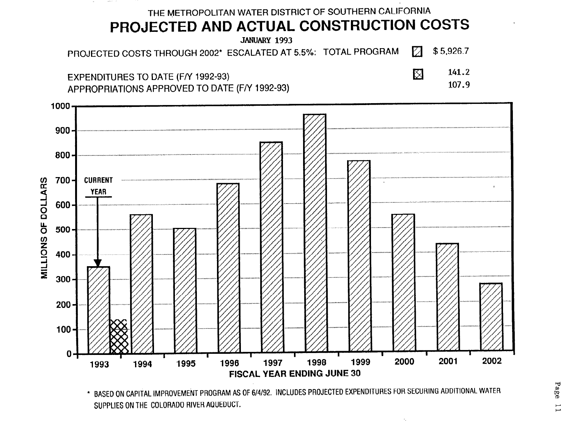

<sup>\*</sup> BASED ON CAPITAL IMPROVEMENT PROGRAM AS OF 6/4/92. INCLUDES PROJECTED EXPENDITURES FOR SECURING ADDITIONAL WATER SUPPLIES ON THE COLORADO RIVER AQUEDUCT.

Page  $\overline{\phantom{0}}$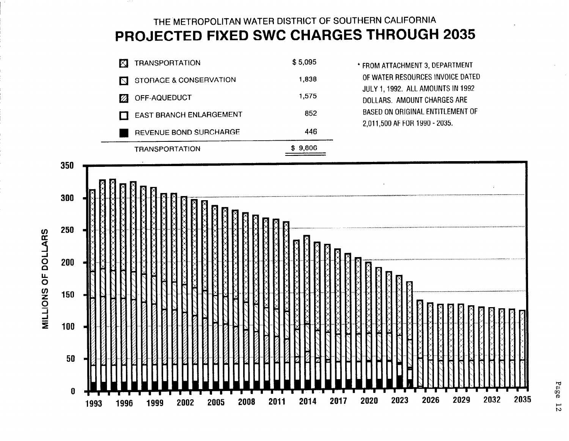# THE METROPOLITAN WATER DISTRICT OF SOUTHERN CALIFORNIA PROJECTED FIXED SWC CHARGES THROUGH 2035



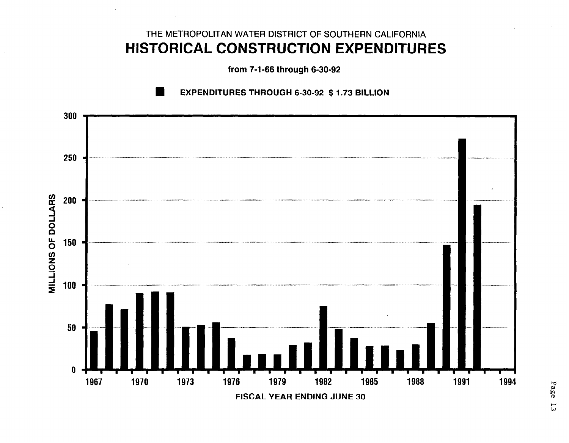# THE METROPOLITAN WATER DISTRICT OF SOUTHERN CALIFORNIA HISTORICAL CONSTRUCTION EXPENDITURES

from 7-l-66 through 6-30-92



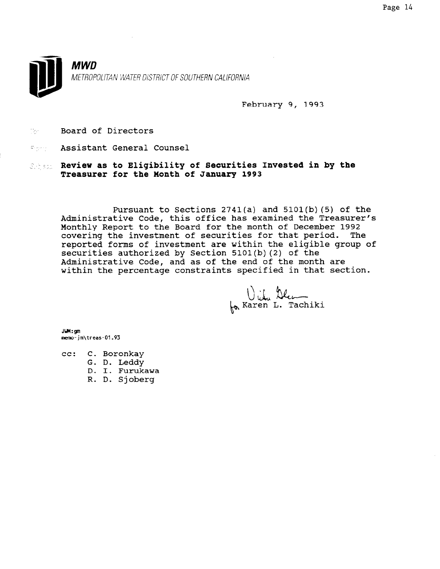

February 9, 1993

- **Board of Directors**
- Assistant General Counsel
- Sepan. Review as to Eligibility of Securities Invested in by the Treasurer for the Month of January 1993

Pursuant to Sections  $2741(a)$  and  $5101(b)$  (5) of the Administrative Code, this office has examined the Treasurer's Monthly Report to the Board for the month of December 1992 covering the investment of securities for that period. The reported forms of investment are within the eligible group of securities authorized by Section 5101(b)(2) of the Administrative Code, and as of the end of the month are within the percentage constraints specified in that section.

bitu Ale

JHI:gm memo-jm\treas-01.93

- cc: C. Boronkay
	- G. D. Leddy
		- D. I. Furukawa
		- R. D. Sjoberg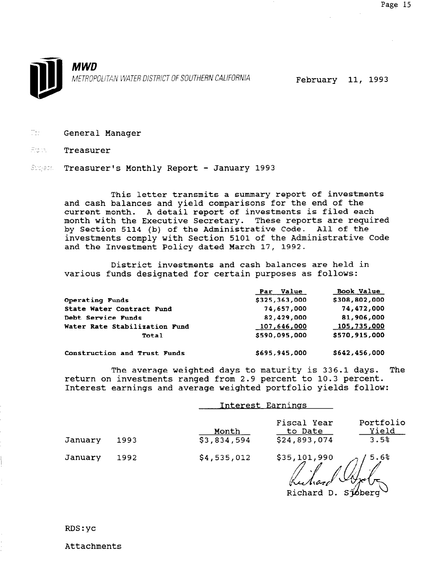- **The General Manager**
- For, Treasurer
- Supect. Treasurer's Monthly Report January 1993

This letter transmits a summary report of investments and cash balances and yield comparisons for the end of the current month. A detail report of investments is filed each month with the Executive Secretary. These reports are required by Section 5114 (b) of the Administrative Code. All of the investments comply with Section 5101 of the Administrative Code and the Investment Policy dated March 17, 1992.

District investments and cash balances are held in various funds designated for certain purposes as follows:

|                               | Par Value     | Book Value    |
|-------------------------------|---------------|---------------|
| Operating Funds               | \$325,363,000 | \$308,802,000 |
| State Water Contract Fund     | 74,657,000    | 74,472,000    |
| Debt Service Funds            | 82,429,000    | 81,906,000    |
| Water Rate Stabilization Fund | 107,646,000   | 105,735,000   |
| Total                         | \$590,095,000 | \$570,915,000 |
| Construction and Trust Funds  | \$695,945,000 | \$642,456,000 |

The average weighted days to maturity is 336.1 days. The return on investments ranged from 2.9 percent to 10.3 percent. Interest earnings and average weighted portfolio yields follow:

|         |      |                      | Interest Earnings                      |                            |  |  |  |
|---------|------|----------------------|----------------------------------------|----------------------------|--|--|--|
| January | 1993 | Month<br>\$3,834,594 | Fiscal Year<br>to Date<br>\$24,893,074 | Portfolio<br>Yield<br>3.5% |  |  |  |
| January | 1992 | \$4,535,012          | \$35,101,990                           | 5.6%                       |  |  |  |

Richard D. Stoberg

Attachments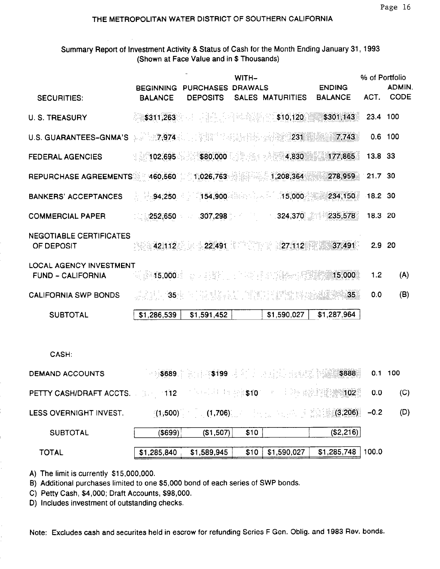### THE METROPOLITAN WATER DISTRICT OF SOUTHERN CALIFORNIA

Summary Report of Investment Activity & Status of Cash for the Month Ending January 31, 1993 (Shown at Face Value and in \$ Thousands)

|                                                                                                                      | <b>BEGINNING</b>     | PURCHASES DRAWALS             | WITH-   |                                                                                                           | <b>ENDING</b>                                                                                                  | % of Portfolio | <b>ADMIN.</b> |
|----------------------------------------------------------------------------------------------------------------------|----------------------|-------------------------------|---------|-----------------------------------------------------------------------------------------------------------|----------------------------------------------------------------------------------------------------------------|----------------|---------------|
| <b>SECURITIES:</b>                                                                                                   | <b>BALANCE</b>       | <b>DEPOSITS</b>               |         | SALES MATURITIES                                                                                          | <b>BALANCE</b>                                                                                                 | ACT.           | CODE          |
| <b>U. S. TREASURY</b>                                                                                                | \$311,263            |                               |         | - 대표 - 1 세 - 120 - 120 - 120 - 120 - 120 <del>-</del>                                                     | \$301,143                                                                                                      | 23.4 100       |               |
| U.S. GUARANTEES-GNMA'S $\sqrt{3}$ (7.974 $\frac{1}{2}$ ) and $\frac{1}{2}$ (1.1 $\frac{1}{2}$ (1.1 $\frac{1}{2}$ 231 |                      |                               |         |                                                                                                           | 7,743                                                                                                          |                | $0.6$ 100     |
| <b>FEDERAL AGENCIES</b>                                                                                              |                      |                               |         | 4,830                                                                                                     | 177,865                                                                                                        | 13.8 33        |               |
| REPURCHASE AGREEMENTS: 460,560 11,026,763                                                                            |                      |                               |         | 1,208,364                                                                                                 | 278,959                                                                                                        | 21.7 30        |               |
| <b>BANKERS' ACCEPTANCES</b>                                                                                          | $-94,250$            | 154,900                       | 指輪的な役れた | 15,000                                                                                                    | 234,150                                                                                                        | 18.2 30        |               |
| <b>COMMERCIAL PAPER</b>                                                                                              | 252,650              | 307,298                       | a 190   |                                                                                                           | $-324,370$ $235,578$                                                                                           | 18.3 20        |               |
| <b>NEGOTIABLE CERTIFICATES</b><br>OF DEPOSIT                                                                         |                      | $-42.112$ $-22.491$ $-27.112$ |         |                                                                                                           | 37,491                                                                                                         | 2.9            | 20            |
| LOCAL AGENCY INVESTMENT<br><b>FUND - CALIFORNIA</b>                                                                  |                      |                               |         |                                                                                                           | WE SHOOD AND A SHOPLAND AND A SHOPLAND AND A SHOPLAND AND A SHOPLAND AND A SHOPLAND AND A SHOPLAND AND A SHOPL | 1.2            | (A)           |
| <b>CALIFORNIA SWP BONDS</b>                                                                                          | . <u>1999년</u> - 35월 |                               |         | - 1970年12月11日 - 1970年12月11日 - 1970年12月10日 - 1980年12月13日<br>1980年 - 1980年12月1日 - 1980年12月11日 - 1980年12月11日 | 35 <sup>°</sup>                                                                                                | 0.0            | (B)           |
| <b>SUBTOTAL</b>                                                                                                      | \$1,286,539          | \$1,591,452                   |         | \$1,590,027                                                                                               | \$1,287,964                                                                                                    |                |               |
|                                                                                                                      |                      |                               |         |                                                                                                           |                                                                                                                |                |               |
| CASH:                                                                                                                |                      |                               |         |                                                                                                           |                                                                                                                |                |               |
| <b>DEMAND ACCOUNTS</b>                                                                                               |                      |                               |         |                                                                                                           |                                                                                                                |                | 0.1 100       |
| PETTY CASH/DRAFT ACCTS. A 19 MALLER AND LOCAL STOCK THE PERSON CONTROL CO. 0.0                                       |                      |                               |         |                                                                                                           |                                                                                                                |                | (C)           |
| LESS OVERNIGHT INVEST.                                                                                               |                      |                               |         |                                                                                                           | $(1.500)$ (1,706) and the set of $(3.206)$                                                                     | $-0.2$         | (D)           |
| <b>SUBTOTAL</b>                                                                                                      | (S699)               | (S1, 507)                     | \$10    |                                                                                                           | (\$2,216)                                                                                                      |                |               |
| <b>TOTAL</b>                                                                                                         |                      | $$1,285,840$ $$1,589,945$     |         |                                                                                                           | $$10$   \$1,590,027   \$1,285,748   100.0                                                                      |                |               |

A) The limit is currently \$15,000,000.

B) Additional purchases limited to one \$5,000 bond of each series of SWP bonds.

C) Petty Cash, \$4,000; Draft Accounts, \$98,000.

D) Includes investment of outstanding checks.

Note: Excludes cash and securites held in escrow for refunding Series F Gen. Oblig. and 1983 Rev. bonds.